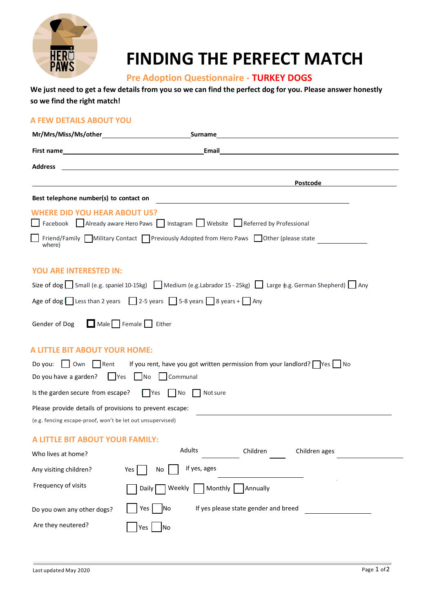

# **FINDING THE PERFECT MATCH**

## **Pre Adoption Questionnaire - TURKEY DOGS**

### **We just need to get a few details from you so we can find the perfect dog for you. Please answer honestly so we find the right match!**

#### **A FEW DETAILS ABOUT YOU**

| Mr/Mrs/Miss/Ms/other                                                                                       | Surname                                                                               |  |  |  |  |  |
|------------------------------------------------------------------------------------------------------------|---------------------------------------------------------------------------------------|--|--|--|--|--|
| <b>First name</b>                                                                                          | Email                                                                                 |  |  |  |  |  |
| <b>Address</b>                                                                                             |                                                                                       |  |  |  |  |  |
|                                                                                                            | <b>Postcode</b>                                                                       |  |  |  |  |  |
| Best telephone number(s) to contact on                                                                     | <u> 1989 - John Stein, Amerikaansk politiker (</u> † 1920)                            |  |  |  |  |  |
| <b>WHERE DID YOU HEAR ABOUT US?</b>                                                                        | Facebook Already aware Hero Paws Instagram Website Referred by Professional           |  |  |  |  |  |
| where)                                                                                                     | Friend/Family Military Contact Previously Adopted from Hero Paws Dother (please state |  |  |  |  |  |
| <b>YOU ARE INTERESTED IN:</b>                                                                              |                                                                                       |  |  |  |  |  |
| Size of dog Small (e.g. spaniel 10-15kg) Medium (e.g. Labrador 15 - 25kg) Large (e.g. German Shepherd) Any |                                                                                       |  |  |  |  |  |
| Age of dog Less than 2 years 2-5 years $\Box$ 5-8 years $\Box$ 8 years + $\Box$ Any                        |                                                                                       |  |  |  |  |  |
| Male Female<br>Gender of Dog                                                                               | Either                                                                                |  |  |  |  |  |
| <b>A LITTLE BIT ABOUT YOUR HOME:</b>                                                                       |                                                                                       |  |  |  |  |  |
| Do you: $\vert$ $\vert$ Own<br>Rent                                                                        | If you rent, have you got written permission from your landlord? $\Box$ Yes           |  |  |  |  |  |
| Communal<br>Do you have a garden?<br>  Yes<br>$\overline{\phantom{a}}$ No                                  |                                                                                       |  |  |  |  |  |
| Is the garden secure from escape?<br>  Yes<br>N <sub>o</sub><br>Not sure                                   |                                                                                       |  |  |  |  |  |
| Please provide details of provisions to prevent escape:                                                    |                                                                                       |  |  |  |  |  |
| (e.g. fencing escape-proof, won't be let out unsupervised)                                                 |                                                                                       |  |  |  |  |  |
| A LITTLE BIT ABOUT YOUR FAMILY:                                                                            |                                                                                       |  |  |  |  |  |
| Who lives at home?                                                                                         | Adults<br>Children<br>Children ages                                                   |  |  |  |  |  |
| Any visiting children?                                                                                     | if yes, ages<br>Yes<br>No                                                             |  |  |  |  |  |
| Frequency of visits                                                                                        | Monthly<br>Daily  <br>Weekly<br>Annually                                              |  |  |  |  |  |
| Do you own any other dogs?                                                                                 | If yes please state gender and breed<br>Yes  <br>INo                                  |  |  |  |  |  |
| Are they neutered?                                                                                         | Yes<br>No                                                                             |  |  |  |  |  |